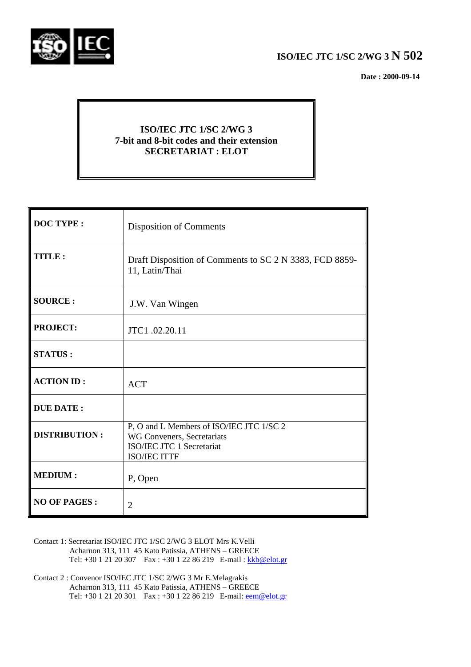

# **ISO/IEC JTC 1/SC 2/WG 3 N 502**

 **Date : 2000-09-14**

# **ISO/IEC JTC 1/SC 2/WG 3 7-bit and 8-bit codes and their extension SECRETARIAT : ELOT**

| <b>DOC TYPE:</b>     | <b>Disposition of Comments</b>                                                                                             |
|----------------------|----------------------------------------------------------------------------------------------------------------------------|
| TITLE:               | Draft Disposition of Comments to SC 2 N 3383, FCD 8859-<br>11, Latin/Thai                                                  |
| <b>SOURCE:</b>       | J.W. Van Wingen                                                                                                            |
| <b>PROJECT:</b>      | JTC1.02.20.11                                                                                                              |
| <b>STATUS:</b>       |                                                                                                                            |
| <b>ACTION ID:</b>    | <b>ACT</b>                                                                                                                 |
| <b>DUE DATE:</b>     |                                                                                                                            |
| <b>DISTRIBUTION:</b> | P, O and L Members of ISO/IEC JTC 1/SC 2<br>WG Conveners, Secretariats<br>ISO/IEC JTC 1 Secretariat<br><b>ISO/IEC ITTF</b> |
| <b>MEDIUM:</b>       | P, Open                                                                                                                    |
| <b>NO OF PAGES:</b>  | $\overline{2}$                                                                                                             |

- Contact 1: Secretariat ISO/IEC JTC 1/SC 2/WG 3 ELOT Mrs K.Velli Acharnon 313, 111 45 Kato Patissia, ATHENS – GREECE Tel: +30 1 21 20 307 Fax : +30 1 22 86 219 E-mail : kkb@elot.gr
- Contact 2 : Convenor ISO/IEC JTC 1/SC 2/WG 3 Mr E.Melagrakis Acharnon 313, 111 45 Kato Patissia, ATHENS – GREECE Tel: +30 1 21 20 301 Fax : +30 1 22 86 219 E-mail: <u>eem@elot.gr</u>